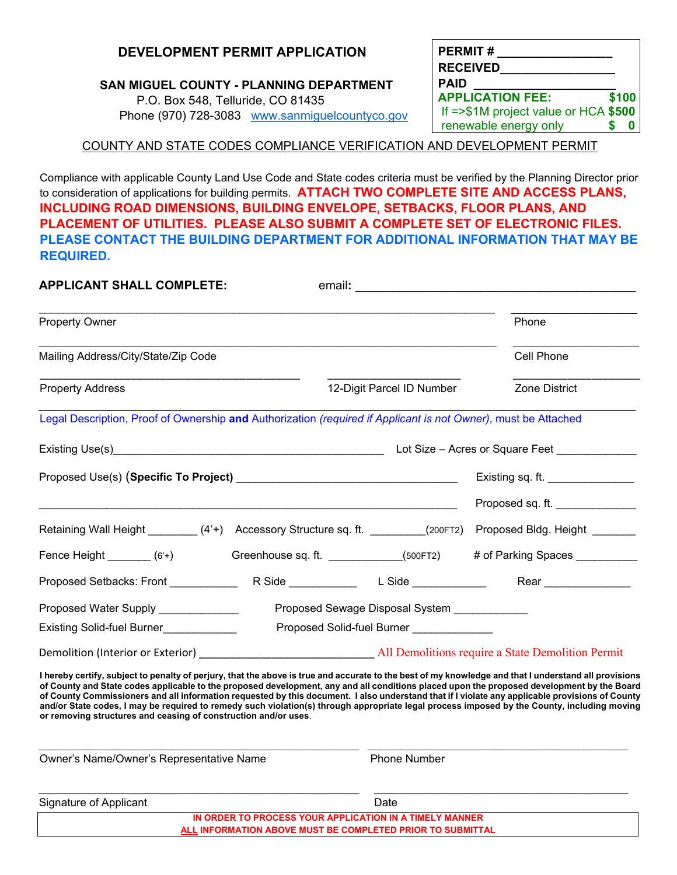### **DEVELOPMENT PERMIT APPLICATION**

#### **SAN MIGUEL COUNTY - PLANNING DEPARTMENT**

P.O. Box 548, Telluride, CO 81435 Phone (970) 728-3083 [www.sanmiguelcountyco.gov](http://www.sanmiguelcountyco.gov/)

| <b>PERMIT#</b><br><b>RECEIVED</b>    |       |  |
|--------------------------------------|-------|--|
| <b>PAID</b>                          |       |  |
| <b>APPLICATION FEE:</b>              | \$100 |  |
| If =>\$1M project value or HCA \$500 |       |  |
| renewable energy only                |       |  |

#### COUNTY AND STATE CODES COMPLIANCE VERIFICATION AND DEVELOPMENT PERMIT

Compliance with applicable County Land Use Code and State codes criteria must be verified by the Planning Director prior to consideration of applications for building permits. **ATTACH TWO COMPLETE SITE AND ACCESS PLANS, INCLUDING ROAD DIMENSIONS, BUILDING ENVELOPE, SETBACKS, FLOOR PLANS, AND PLACEMENT OF UTILITIES. PLEASE ALSO SUBMIT A COMPLETE SET OF ELECTRONIC FILES. PLEASE CONTACT THE BUILDING DEPARTMENT FOR ADDITIONAL INFORMATION THAT MAY BE REQUIRED.**

| <b>APPLICANT SHALL COMPLETE:</b><br>email:                                                                                                                                                                                                                                                                                                                                                                                                                                                                                                                                                                                                                               |                                              |                                 |
|--------------------------------------------------------------------------------------------------------------------------------------------------------------------------------------------------------------------------------------------------------------------------------------------------------------------------------------------------------------------------------------------------------------------------------------------------------------------------------------------------------------------------------------------------------------------------------------------------------------------------------------------------------------------------|----------------------------------------------|---------------------------------|
| <b>Property Owner</b>                                                                                                                                                                                                                                                                                                                                                                                                                                                                                                                                                                                                                                                    |                                              | Phone                           |
| Mailing Address/City/State/Zip Code                                                                                                                                                                                                                                                                                                                                                                                                                                                                                                                                                                                                                                      |                                              | Cell Phone                      |
| <b>Property Address</b>                                                                                                                                                                                                                                                                                                                                                                                                                                                                                                                                                                                                                                                  | 12-Digit Parcel ID Number                    | Zone District                   |
| Legal Description, Proof of Ownership and Authorization (required if Applicant is not Owner), must be Attached                                                                                                                                                                                                                                                                                                                                                                                                                                                                                                                                                           |                                              |                                 |
|                                                                                                                                                                                                                                                                                                                                                                                                                                                                                                                                                                                                                                                                          |                                              | Lot Size – Acres or Square Feet |
|                                                                                                                                                                                                                                                                                                                                                                                                                                                                                                                                                                                                                                                                          |                                              | Existing sq. ft.                |
|                                                                                                                                                                                                                                                                                                                                                                                                                                                                                                                                                                                                                                                                          |                                              | Proposed sq. ft.                |
| Retaining Wall Height ________(4'+) Accessory Structure sq. ft. ________(200FT2) Proposed Bldg. Height ______                                                                                                                                                                                                                                                                                                                                                                                                                                                                                                                                                            |                                              |                                 |
| Fence Height _______ (6'+) Greenhouse sq. ft. __________(500FT2) # of Parking Spaces _________                                                                                                                                                                                                                                                                                                                                                                                                                                                                                                                                                                           |                                              |                                 |
|                                                                                                                                                                                                                                                                                                                                                                                                                                                                                                                                                                                                                                                                          |                                              |                                 |
| Proposed Water Supply _____________                                                                                                                                                                                                                                                                                                                                                                                                                                                                                                                                                                                                                                      | Proposed Sewage Disposal System ____________ |                                 |
| Existing Solid-fuel Burner                                                                                                                                                                                                                                                                                                                                                                                                                                                                                                                                                                                                                                               | Proposed Solid-fuel Burner ______________    |                                 |
|                                                                                                                                                                                                                                                                                                                                                                                                                                                                                                                                                                                                                                                                          |                                              |                                 |
| l hereby certify, subject to penalty of perjury, that the above is true and accurate to the best of my knowledge and that I understand all provisions<br>of County and State codes applicable to the proposed development, any and all conditions placed upon the proposed development by the Board<br>of County Commissioners and all information requested by this document. I also understand that if I violate any applicable provisions of County<br>and/or State codes, I may be required to remedy such violation(s) through appropriate legal process imposed by the County, including moving<br>or removing structures and ceasing of construction and/or uses. |                                              |                                 |
| Owner's Name/Owner's Representative Name                                                                                                                                                                                                                                                                                                                                                                                                                                                                                                                                                                                                                                 | <b>Phone Number</b>                          |                                 |
| Signature of Applicant<br>IN ORDER TO PROCESS YOUR APPLICATION IN A TIMELY MANNER                                                                                                                                                                                                                                                                                                                                                                                                                                                                                                                                                                                        | Date                                         |                                 |

**ALL INFORMATION ABOVE MUST BE COMPLETED PRIOR TO SUBMITTAL**